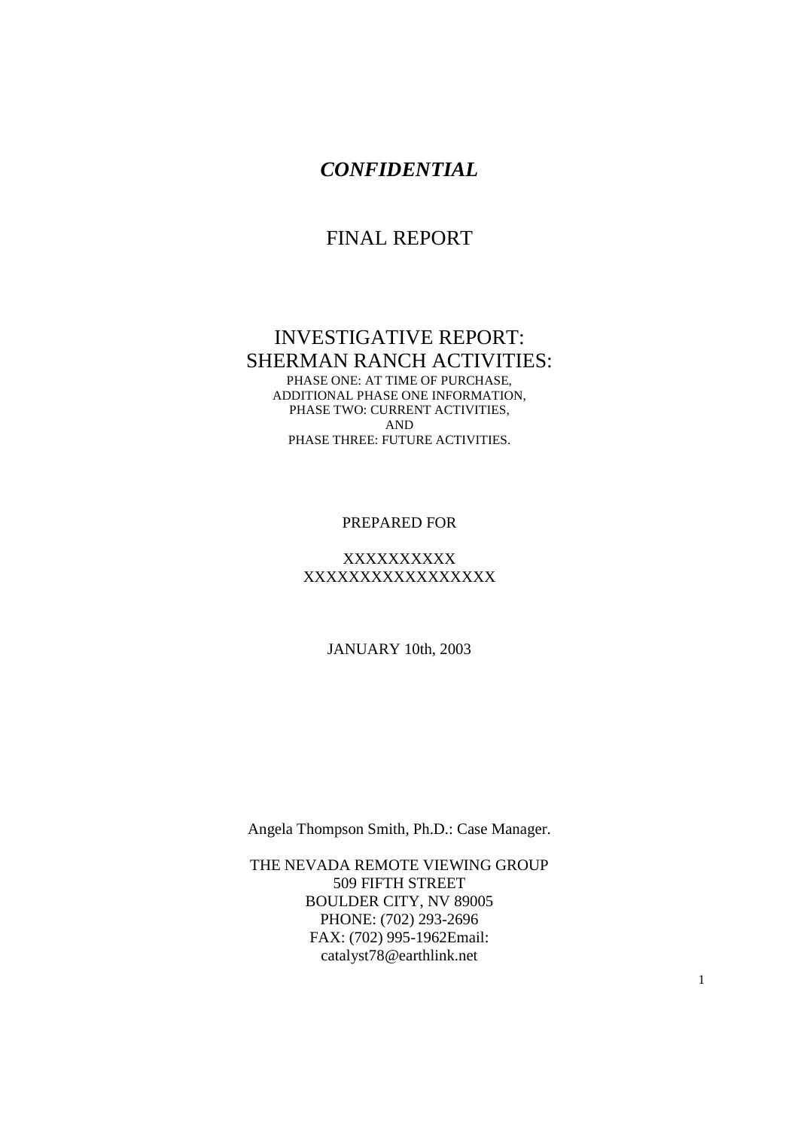*CONFIDENTIAL* 

FINAL REPORT

## INVESTIGATIVE REPORT: SHERMAN RANCH ACTIVITIES: PHASE ONE: AT TIME OF PURCHASE, ADDITIONAL PHASE ONE INFORMATION, PHASE TWO: CURRENT ACTIVITIES, AND

PHASE THREE: FUTURE ACTIVITIES.

PREPARED FOR

XXXXXXXXXX XXXXXXXXXXXXXXXXX

JANUARY 10th, 2003

Angela Thompson Smith, Ph.D.: Case Manager.

THE NEVADA REMOTE VIEWING GROUP 509 FIFTH STREET BOULDER CITY, NV 89005 PHONE: (702) 293-2696 FAX: (702) 995-1962Email: catalyst78@earthlink.net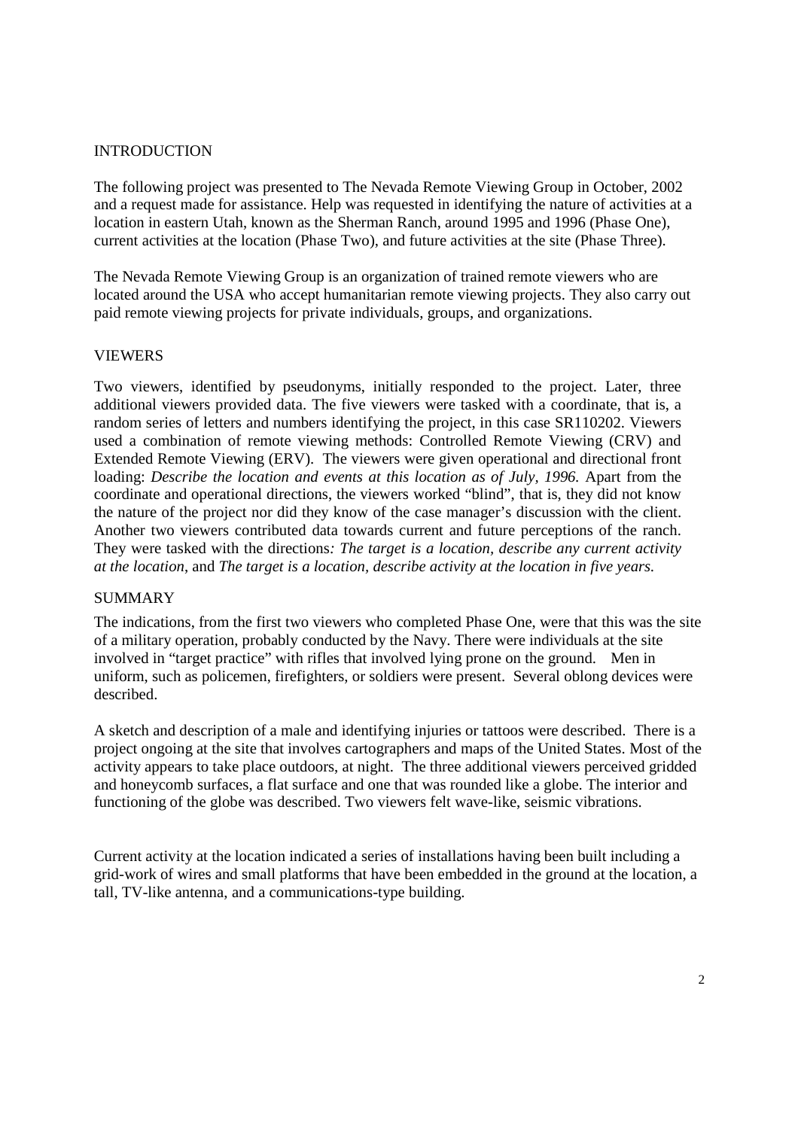# INTRODUCTION

The following project was presented to The Nevada Remote Viewing Group in October, 2002 and a request made for assistance. Help was requested in identifying the nature of activities at a location in eastern Utah, known as the Sherman Ranch, around 1995 and 1996 (Phase One), current activities at the location (Phase Two), and future activities at the site (Phase Three).

The Nevada Remote Viewing Group is an organization of trained remote viewers who are located around the USA who accept humanitarian remote viewing projects. They also carry out paid remote viewing projects for private individuals, groups, and organizations.

### VIEWERS

Two viewers, identified by pseudonyms, initially responded to the project. Later, three additional viewers provided data. The five viewers were tasked with a coordinate, that is, a random series of letters and numbers identifying the project, in this case SR110202. Viewers used a combination of remote viewing methods: Controlled Remote Viewing (CRV) and Extended Remote Viewing (ERV). The viewers were given operational and directional front loading: *Describe the location and events at this location as of July, 1996.* Apart from the coordinate and operational directions, the viewers worked "blind", that is, they did not know the nature of the project nor did they know of the case manager's discussion with the client. Another two viewers contributed data towards current and future perceptions of the ranch. They were tasked with the directions*: The target is a location, describe any current activity at the location*, and *The target is a location, describe activity at the location in five years.* 

#### SUMMARY

The indications, from the first two viewers who completed Phase One, were that this was the site of a military operation, probably conducted by the Navy. There were individuals at the site involved in "target practice" with rifles that involved lying prone on the ground. Men in uniform, such as policemen, firefighters, or soldiers were present. Several oblong devices were described.

A sketch and description of a male and identifying injuries or tattoos were described. There is a project ongoing at the site that involves cartographers and maps of the United States. Most of the activity appears to take place outdoors, at night. The three additional viewers perceived gridded and honeycomb surfaces, a flat surface and one that was rounded like a globe. The interior and functioning of the globe was described. Two viewers felt wave-like, seismic vibrations.

Current activity at the location indicated a series of installations having been built including a grid-work of wires and small platforms that have been embedded in the ground at the location, a tall, TV-like antenna, and a communications-type building.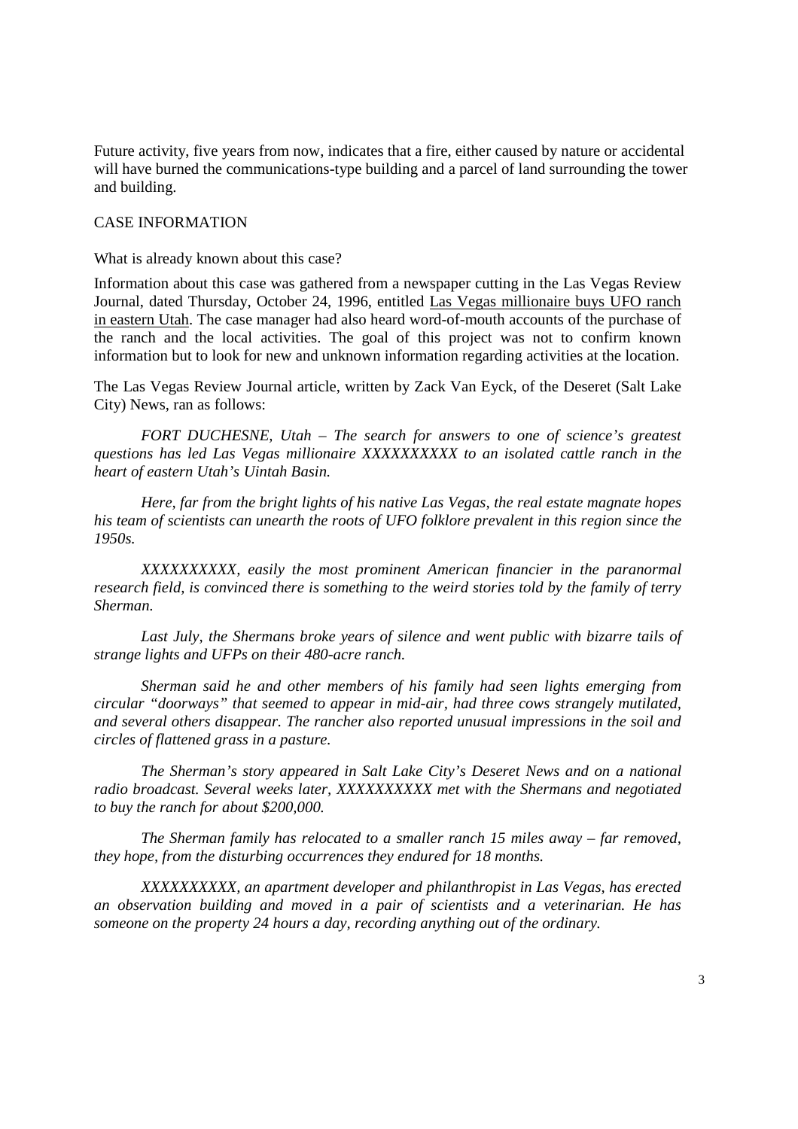Future activity, five years from now, indicates that a fire, either caused by nature or accidental will have burned the communications-type building and a parcel of land surrounding the tower and building.

#### CASE INFORMATION

What is already known about this case?

Information about this case was gathered from a newspaper cutting in the Las Vegas Review Journal, dated Thursday, October 24, 1996, entitled Las Vegas millionaire buys UFO ranch in eastern Utah. The case manager had also heard word-of-mouth accounts of the purchase of the ranch and the local activities. The goal of this project was not to confirm known information but to look for new and unknown information regarding activities at the location.

The Las Vegas Review Journal article, written by Zack Van Eyck, of the Deseret (Salt Lake City) News, ran as follows:

*FORT DUCHESNE, Utah – The search for answers to one of science's greatest questions has led Las Vegas millionaire XXXXXXXXXX to an isolated cattle ranch in the heart of eastern Utah's Uintah Basin.* 

 *Here, far from the bright lights of his native Las Vegas, the real estate magnate hopes his team of scientists can unearth the roots of UFO folklore prevalent in this region since the 1950s.* 

 *XXXXXXXXXX, easily the most prominent American financier in the paranormal research field, is convinced there is something to the weird stories told by the family of terry Sherman.* 

 *Last July, the Shermans broke years of silence and went public with bizarre tails of strange lights and UFPs on their 480-acre ranch.* 

 *Sherman said he and other members of his family had seen lights emerging from circular "doorways" that seemed to appear in mid-air, had three cows strangely mutilated, and several others disappear. The rancher also reported unusual impressions in the soil and circles of flattened grass in a pasture.* 

 *The Sherman's story appeared in Salt Lake City's Deseret News and on a national radio broadcast. Several weeks later, XXXXXXXXXX met with the Shermans and negotiated to buy the ranch for about \$200,000.* 

 *The Sherman family has relocated to a smaller ranch 15 miles away – far removed, they hope, from the disturbing occurrences they endured for 18 months.* 

 *XXXXXXXXXX, an apartment developer and philanthropist in Las Vegas, has erected an observation building and moved in a pair of scientists and a veterinarian. He has someone on the property 24 hours a day, recording anything out of the ordinary.*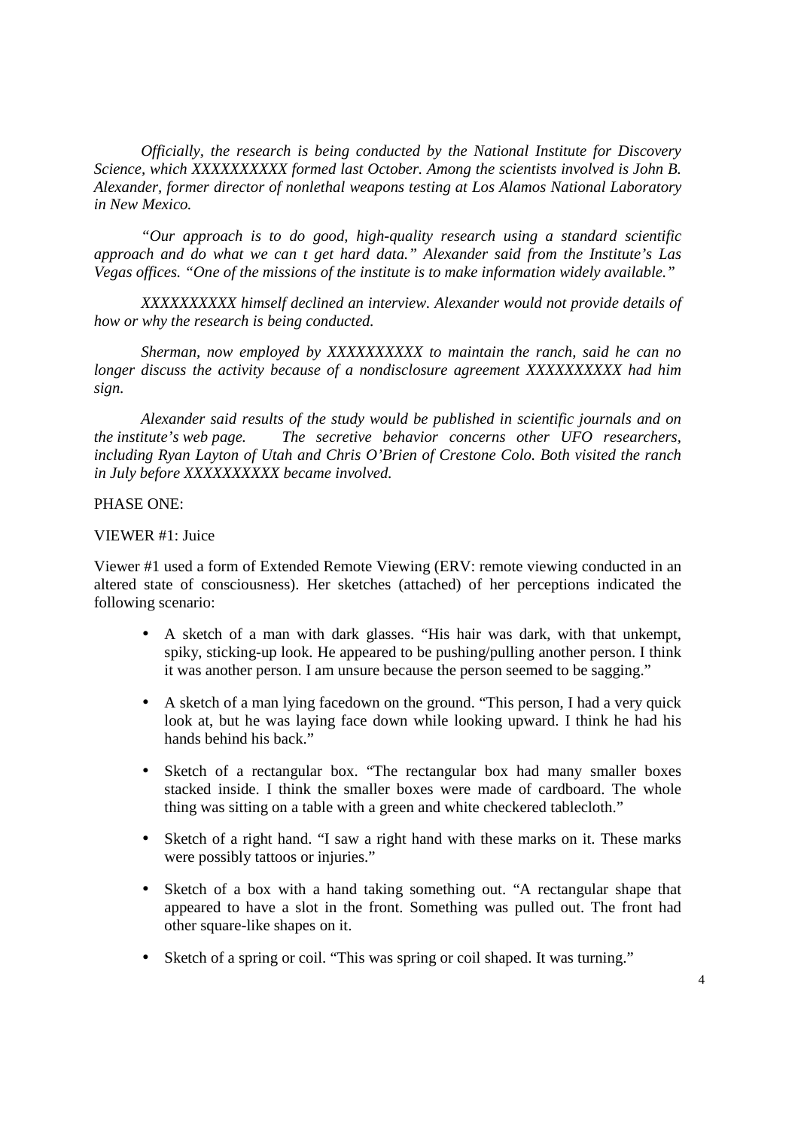*Officially, the research is being conducted by the National Institute for Discovery Science, which XXXXXXXXXX formed last October. Among the scientists involved is John B. Alexander, former director of nonlethal weapons testing at Los Alamos National Laboratory in New Mexico.* 

 *"Our approach is to do good, high-quality research using a standard scientific approach and do what we can t get hard data." Alexander said from the Institute's Las Vegas offices. "One of the missions of the institute is to make information widely available."* 

 *XXXXXXXXXX himself declined an interview. Alexander would not provide details of how or why the research is being conducted.* 

 *Sherman, now employed by XXXXXXXXXX to maintain the ranch, said he can no longer discuss the activity because of a nondisclosure agreement XXXXXXXXXX had him sign.* 

 *Alexander said results of the study would be published in scientific journals and on the institute's web page. The secretive behavior concerns other UFO researchers, including Ryan Layton of Utah and Chris O'Brien of Crestone Colo. Both visited the ranch in July before XXXXXXXXXX became involved.*

### PHASE ONE:

#### VIEWER #1: Juice

Viewer #1 used a form of Extended Remote Viewing (ERV: remote viewing conducted in an altered state of consciousness). Her sketches (attached) of her perceptions indicated the following scenario:

- A sketch of a man with dark glasses. "His hair was dark, with that unkempt, spiky, sticking-up look. He appeared to be pushing/pulling another person. I think it was another person. I am unsure because the person seemed to be sagging."
- A sketch of a man lying facedown on the ground. "This person, I had a very quick look at, but he was laying face down while looking upward. I think he had his hands behind his back."
- Sketch of a rectangular box. "The rectangular box had many smaller boxes stacked inside. I think the smaller boxes were made of cardboard. The whole thing was sitting on a table with a green and white checkered tablecloth."
- Sketch of a right hand. "I saw a right hand with these marks on it. These marks were possibly tattoos or injuries."
- Sketch of a box with a hand taking something out. "A rectangular shape that appeared to have a slot in the front. Something was pulled out. The front had other square-like shapes on it.
- Sketch of a spring or coil. "This was spring or coil shaped. It was turning."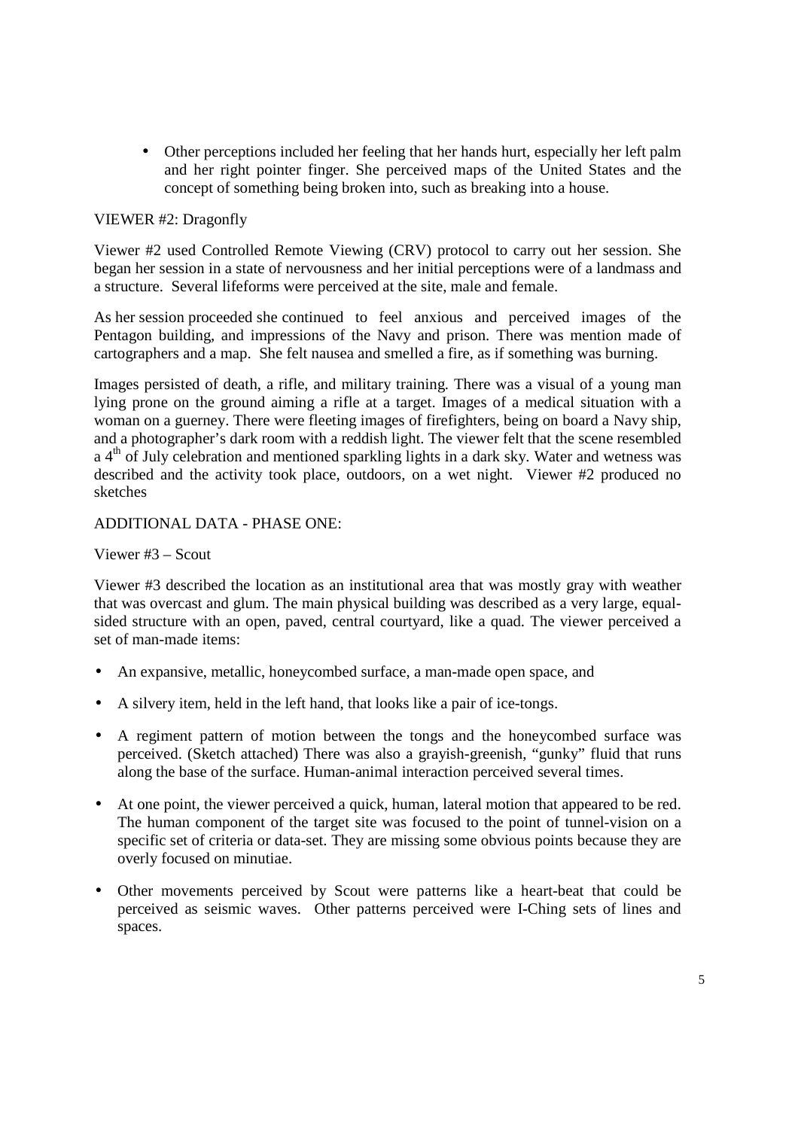• Other perceptions included her feeling that her hands hurt, especially her left palm and her right pointer finger. She perceived maps of the United States and the concept of something being broken into, such as breaking into a house.

# VIEWER #2: Dragonfly

Viewer #2 used Controlled Remote Viewing (CRV) protocol to carry out her session. She began her session in a state of nervousness and her initial perceptions were of a landmass and a structure. Several lifeforms were perceived at the site, male and female.

As her session proceeded she continued to feel anxious and perceived images of the Pentagon building, and impressions of the Navy and prison. There was mention made of cartographers and a map. She felt nausea and smelled a fire, as if something was burning.

Images persisted of death, a rifle, and military training. There was a visual of a young man lying prone on the ground aiming a rifle at a target. Images of a medical situation with a woman on a guerney. There were fleeting images of firefighters, being on board a Navy ship, and a photographer's dark room with a reddish light. The viewer felt that the scene resembled a 4<sup>th</sup> of July celebration and mentioned sparkling lights in a dark sky. Water and wetness was described and the activity took place, outdoors, on a wet night. Viewer #2 produced no sketches

# ADDITIONAL DATA - PHASE ONE:

Viewer #3 – Scout

Viewer #3 described the location as an institutional area that was mostly gray with weather that was overcast and glum. The main physical building was described as a very large, equalsided structure with an open, paved, central courtyard, like a quad. The viewer perceived a set of man-made items:

- An expansive, metallic, honeycombed surface, a man-made open space, and
- A silvery item, held in the left hand, that looks like a pair of ice-tongs.
- A regiment pattern of motion between the tongs and the honeycombed surface was perceived. (Sketch attached) There was also a grayish-greenish, "gunky" fluid that runs along the base of the surface. Human-animal interaction perceived several times.
- At one point, the viewer perceived a quick, human, lateral motion that appeared to be red. The human component of the target site was focused to the point of tunnel-vision on a specific set of criteria or data-set. They are missing some obvious points because they are overly focused on minutiae.
- Other movements perceived by Scout were patterns like a heart-beat that could be perceived as seismic waves. Other patterns perceived were I-Ching sets of lines and spaces.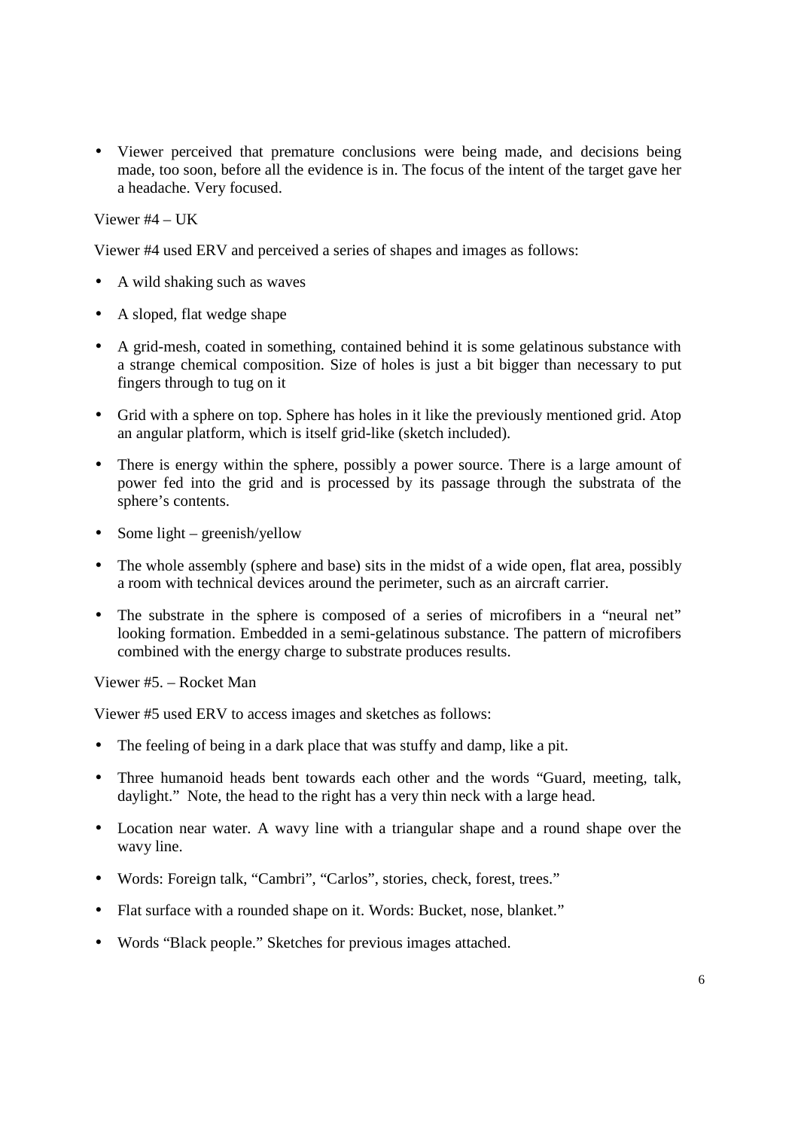• Viewer perceived that premature conclusions were being made, and decisions being made, too soon, before all the evidence is in. The focus of the intent of the target gave her a headache. Very focused.

Viewer #4 – UK

Viewer #4 used ERV and perceived a series of shapes and images as follows:

- A wild shaking such as waves
- A sloped, flat wedge shape
- A grid-mesh, coated in something, contained behind it is some gelatinous substance with a strange chemical composition. Size of holes is just a bit bigger than necessary to put fingers through to tug on it
- Grid with a sphere on top. Sphere has holes in it like the previously mentioned grid. Atop an angular platform, which is itself grid-like (sketch included).
- There is energy within the sphere, possibly a power source. There is a large amount of power fed into the grid and is processed by its passage through the substrata of the sphere's contents.
- Some light greenish/yellow
- The whole assembly (sphere and base) sits in the midst of a wide open, flat area, possibly a room with technical devices around the perimeter, such as an aircraft carrier.
- The substrate in the sphere is composed of a series of microfibers in a "neural net" looking formation. Embedded in a semi-gelatinous substance. The pattern of microfibers combined with the energy charge to substrate produces results.

Viewer #5. – Rocket Man

Viewer #5 used ERV to access images and sketches as follows:

- The feeling of being in a dark place that was stuffy and damp, like a pit.
- Three humanoid heads bent towards each other and the words "Guard, meeting, talk, daylight." Note, the head to the right has a very thin neck with a large head.
- Location near water. A wavy line with a triangular shape and a round shape over the wavy line.
- Words: Foreign talk, "Cambri", "Carlos", stories, check, forest, trees."
- Flat surface with a rounded shape on it. Words: Bucket, nose, blanket."
- Words "Black people." Sketches for previous images attached.